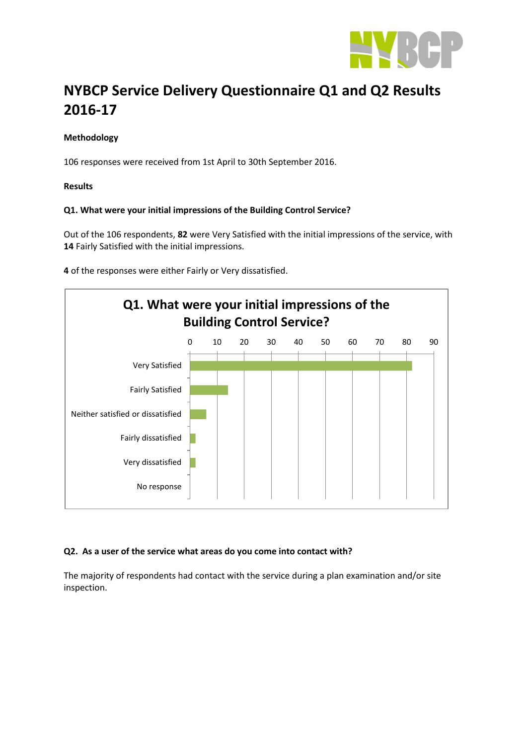

# **NYBCP Service Delivery Questionnaire Q1 and Q2 Results 2016-17**

# **Methodology**

106 responses were received from 1st April to 30th September 2016.

#### **Results**

## **Q1. What were your initial impressions of the Building Control Service?**

Out of the 106 respondents, **82** were Very Satisfied with the initial impressions of the service, with **14** Fairly Satisfied with the initial impressions.

**4** of the responses were either Fairly or Very dissatisfied.



#### **Q2. As a user of the service what areas do you come into contact with?**

The majority of respondents had contact with the service during a plan examination and/or site inspection.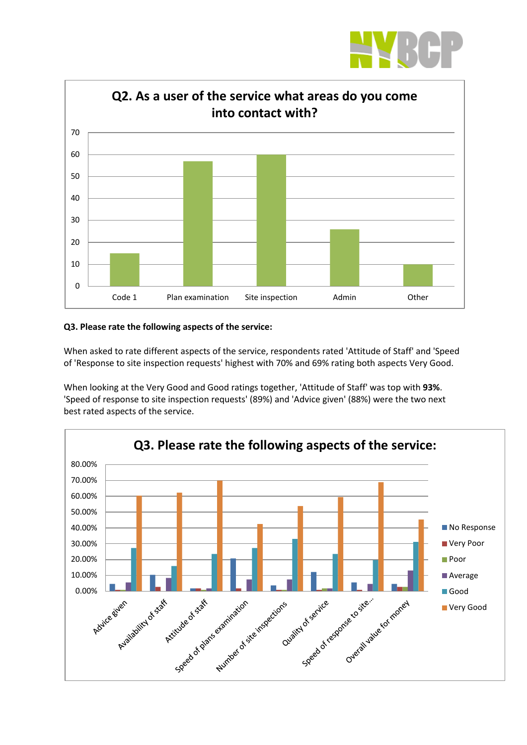



## **Q3. Please rate the following aspects of the service:**

When asked to rate different aspects of the service, respondents rated 'Attitude of Staff' and 'Speed of 'Response to site inspection requests' highest with 70% and 69% rating both aspects Very Good.

When looking at the Very Good and Good ratings together, 'Attitude of Staff' was top with **93%**. 'Speed of response to site inspection requests' (89%) and 'Advice given' (88%) were the two next best rated aspects of the service.

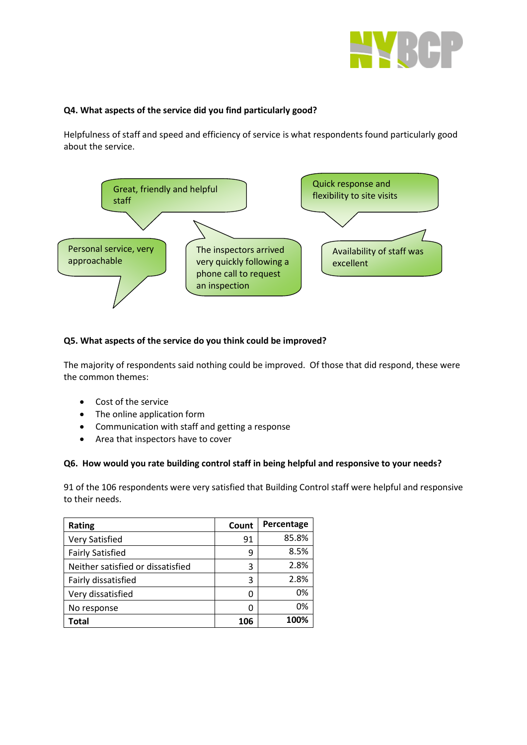

# **Q4. What aspects of the service did you find particularly good?**

Helpfulness of staff and speed and efficiency of service is what respondents found particularly good about the service.



## **Q5. What aspects of the service do you think could be improved?**

The majority of respondents said nothing could be improved. Of those that did respond, these were the common themes:

- Cost of the service
- The online application form
- Communication with staff and getting a response
- Area that inspectors have to cover

#### **Q6. How would you rate building control staff in being helpful and responsive to your needs?**

91 of the 106 respondents were very satisfied that Building Control staff were helpful and responsive to their needs.

| <b>Rating</b>                     | Count | Percentage |
|-----------------------------------|-------|------------|
| <b>Very Satisfied</b>             | 91    | 85.8%      |
| <b>Fairly Satisfied</b>           | ٩     | 8.5%       |
| Neither satisfied or dissatisfied | 3     | 2.8%       |
| Fairly dissatisfied               | 3     | 2.8%       |
| Very dissatisfied                 | ი     | 0%         |
| No response                       | O     | 0%         |
| Total                             | 106   | 100%       |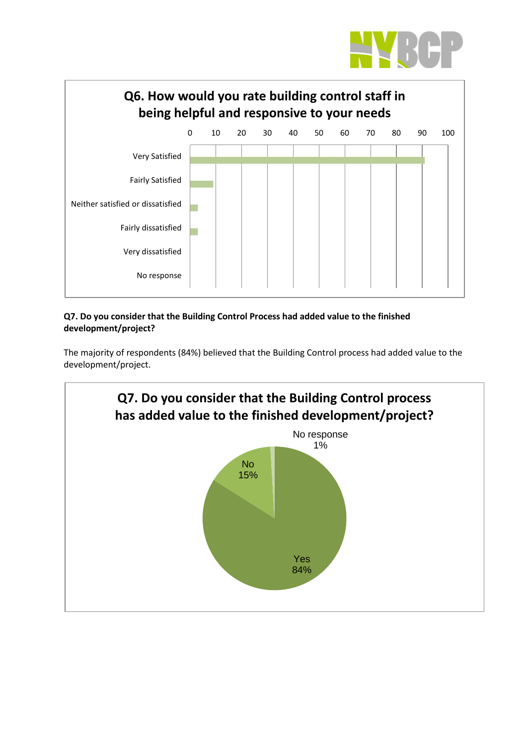



# **Q7. Do you consider that the Building Control Process had added value to the finished development/project?**

The majority of respondents (84%) believed that the Building Control process had added value to the development/project.

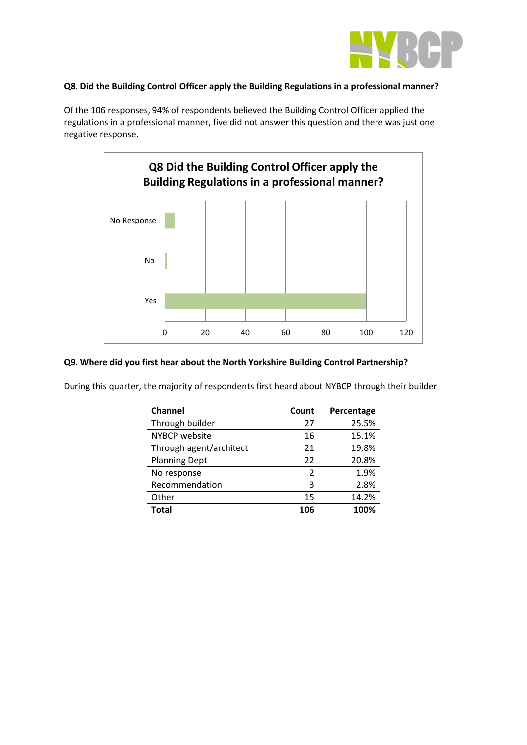

## **Q8. Did the Building Control Officer apply the Building Regulations in a professional manner?**

Of the 106 responses, 94% of respondents believed the Building Control Officer applied the regulations in a professional manner, five did not answer this question and there was just one negative response.



## **Q9. Where did you first hear about the North Yorkshire Building Control Partnership?**

During this quarter, the majority of respondents first heard about NYBCP through their builder

| <b>Channel</b>          | Count | Percentage |
|-------------------------|-------|------------|
| Through builder         | 27    | 25.5%      |
| NYBCP website           | 16    | 15.1%      |
| Through agent/architect | 21    | 19.8%      |
| <b>Planning Dept</b>    | 22    | 20.8%      |
| No response             | 2     | 1.9%       |
| Recommendation          | 3     | 2.8%       |
| Other                   | 15    | 14.2%      |
| <b>Total</b>            | 106   | 100%       |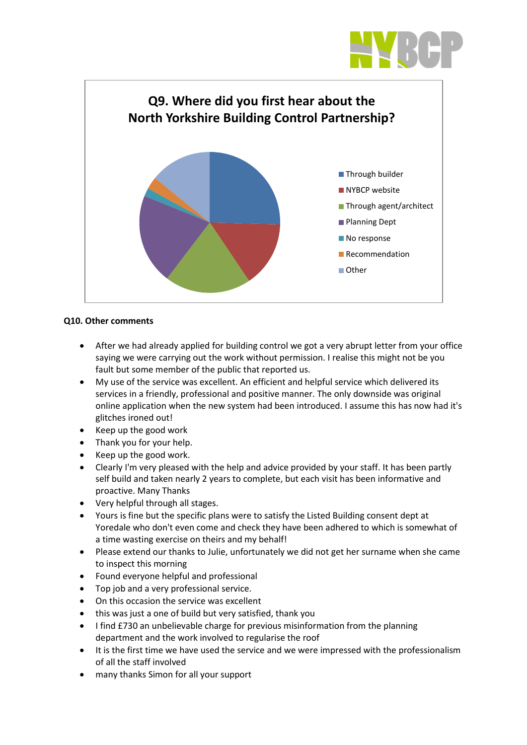



## **Q10. Other comments**

- After we had already applied for building control we got a very abrupt letter from your office saying we were carrying out the work without permission. I realise this might not be you fault but some member of the public that reported us.
- My use of the service was excellent. An efficient and helpful service which delivered its services in a friendly, professional and positive manner. The only downside was original online application when the new system had been introduced. I assume this has now had it's glitches ironed out!
- Keep up the good work
- Thank you for your help.
- Keep up the good work.
- Clearly I'm very pleased with the help and advice provided by your staff. It has been partly self build and taken nearly 2 years to complete, but each visit has been informative and proactive. Many Thanks
- Very helpful through all stages.
- Yours is fine but the specific plans were to satisfy the Listed Building consent dept at Yoredale who don't even come and check they have been adhered to which is somewhat of a time wasting exercise on theirs and my behalf!
- Please extend our thanks to Julie, unfortunately we did not get her surname when she came to inspect this morning
- Found everyone helpful and professional
- Top job and a very professional service.
- On this occasion the service was excellent
- this was just a one of build but very satisfied, thank you
- I find £730 an unbelievable charge for previous misinformation from the planning department and the work involved to regularise the roof
- It is the first time we have used the service and we were impressed with the professionalism of all the staff involved
- many thanks Simon for all your support